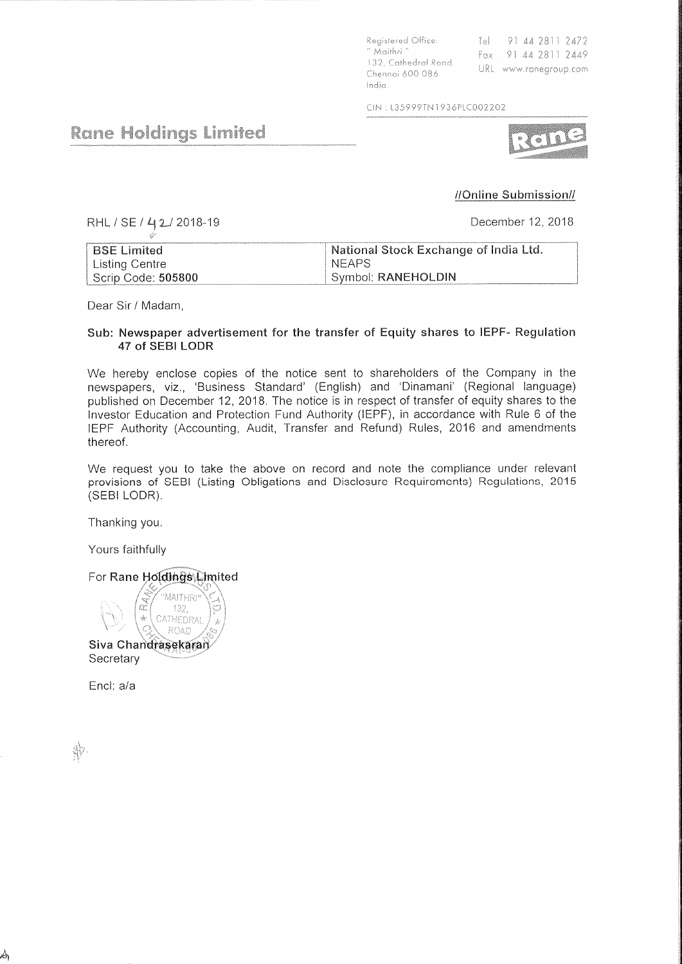Registered Office: " Maithri " 132, Cathedral Road. Chennai 600 086. India

Tel : 91 44 2811 2472 Fax . 91 44 2811 2449 URL www.ranegroup.com

CIN: L35999TN1936PLC002202

## **Rane Holdings Limited**

## //Online Submission//

RHL / SE / 42/2018-19

December 12, 2018

| <b>BSE Limited</b>          | National Stock Exchange of India Ltd. |
|-----------------------------|---------------------------------------|
| <sup>+</sup> Listing Centre | <b>NFAPS</b>                          |
| Scrip Code: 505800          | Symbol: RANEHOLDIN                    |

Dear Sir / Madam,

## Sub: Newspaper advertisement for the transfer of Equity shares to IEPF- Regulation 47 of SEBI LODR

We hereby enclose copies of the notice sent to shareholders of the Company in the newspapers, viz., 'Business Standard' (English) and 'Dinamani' (Regional language) published on December 12, 2018. The notice is in respect of transfer of equity shares to the Investor Education and Protection Fund Authority (IEPF), in accordance with Rule 6 of the IEPF Authority (Accounting, Audit, Transfer and Refund) Rules, 2016 and amendments thereof.

We request you to take the above on record and note the compliance under relevant provisions of SEBI (Listing Obligations and Disclosure Requirements) Regulations, 2015 (SEBI LODR).

Thanking you.

Yours faithfully

For Rane Holdings Limited

**MAITHRI** 132. CATHEDRAL  $\frac{1}{26}$ ROAD Siva Chandrasekaran Secretary

Encl: a/a

\$

A